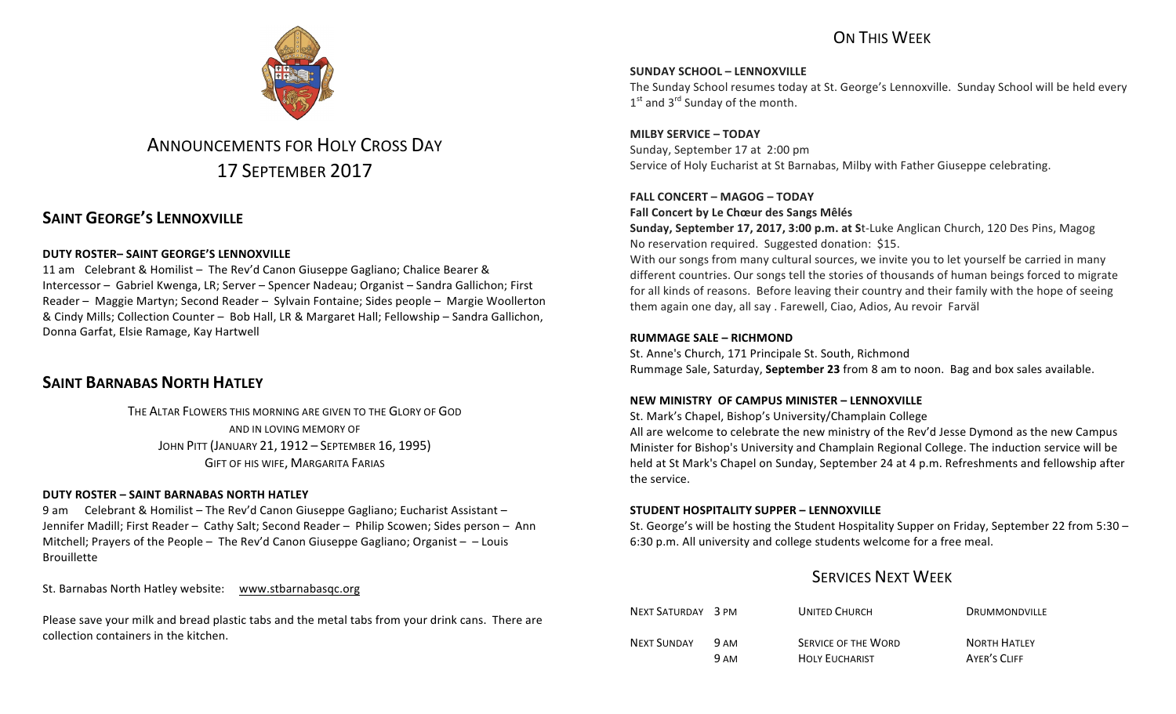# ON THIS WFFK



# ANNOUNCEMENTS FOR HOLY CROSS DAY 17 SEPTEMBER 2017

# **SAINT GEORGE'S LENNOXVILLE**

### **DUTY ROSTER– SAINT GEORGE'S LENNOXVILLE**

11 am Celebrant & Homilist – The Rev'd Canon Giuseppe Gagliano; Chalice Bearer & Intercessor - Gabriel Kwenga, LR; Server - Spencer Nadeau; Organist - Sandra Gallichon; First Reader – Maggie Martyn; Second Reader – Sylvain Fontaine; Sides people – Margie Woollerton & Cindy Mills; Collection Counter - Bob Hall, LR & Margaret Hall; Fellowship - Sandra Gallichon, Donna Garfat, Elsie Ramage, Kay Hartwell

## **SAINT BARNABAS NORTH HATLEY**

THE ALTAR FLOWERS THIS MORNING ARE GIVEN TO THE GLORY OF GOD AND IN LOVING MEMORY OF JOHN PITT (JANUARY 21, 1912 – SEPTEMBER 16, 1995) **GIFT OF HIS WIFE, MARGARITA FARIAS** 

### **DUTY ROSTER – SAINT BARNABAS NORTH HATLEY**

9 am Celebrant & Homilist – The Rev'd Canon Giuseppe Gagliano; Eucharist Assistant – Jennifer Madill; First Reader - Cathy Salt; Second Reader - Philip Scowen; Sides person - Ann Mitchell; Prayers of the People – The Rev'd Canon Giuseppe Gagliano; Organist –  $-$  Louis Brouillette

St. Barnabas North Hatley website: www.stbarnabasqc.org

Please save your milk and bread plastic tabs and the metal tabs from your drink cans. There are collection containers in the kitchen.

**SUNDAY SCHOOL – LENNOXVILLE**

The Sunday School resumes today at St. George's Lennoxville. Sunday School will be held every  $1<sup>st</sup>$  and  $3<sup>rd</sup>$  Sunday of the month.

**MILBY SERVICE – TODAY** Sunday, September 17 at 2:00 pm Service of Holy Eucharist at St Barnabas, Milby with Father Giuseppe celebrating.

### **FALL CONCERT – MAGOG – TODAY**

**Fall Concert by Le Chœur des Sangs Mêlés** 

**Sunday, September 17, 2017, 3:00 p.m. at St-Luke Anglican Church, 120 Des Pins, Magog** No reservation required. Suggested donation: \$15.

With our songs from many cultural sources, we invite you to let yourself be carried in many different countries. Our songs tell the stories of thousands of human beings forced to migrate for all kinds of reasons. Before leaving their country and their family with the hope of seeing them again one day, all say . Farewell, Ciao, Adios, Au revoir Farväl

### **RUMMAGE SALE – RICHMOND**

St. Anne's Church, 171 Principale St. South, Richmond Rummage Sale, Saturday, September 23 from 8 am to noon. Bag and box sales available.

### **NEW MINISTRY OF CAMPUS MINISTER – LENNOXVILLE**

St. Mark's Chapel, Bishop's University/Champlain College

All are welcome to celebrate the new ministry of the Rev'd Jesse Dymond as the new Campus Minister for Bishop's University and Champlain Regional College. The induction service will be held at St Mark's Chapel on Sunday, September 24 at 4 p.m. Refreshments and fellowship after the service.

### **STUDENT HOSPITALITY SUPPER – LENNOXVILLE**

St. George's will be hosting the Student Hospitality Supper on Friday, September 22 from 5:30 – 6:30 p.m. All university and college students welcome for a free meal.

# **SERVICES NEXT WEEK**

| NEXT SATURDAY 3 PM |      | <b>UNITED CHURCH</b>       | <b>DRUMMONDVILLE</b> |
|--------------------|------|----------------------------|----------------------|
| <b>NEXT SUNDAY</b> | 9 AM | <b>SERVICE OF THE WORD</b> | <b>NORTH HATLEY</b>  |
|                    | 9 AM | <b>HOLY FUCHARIST</b>      | AYER'S CLIFE         |